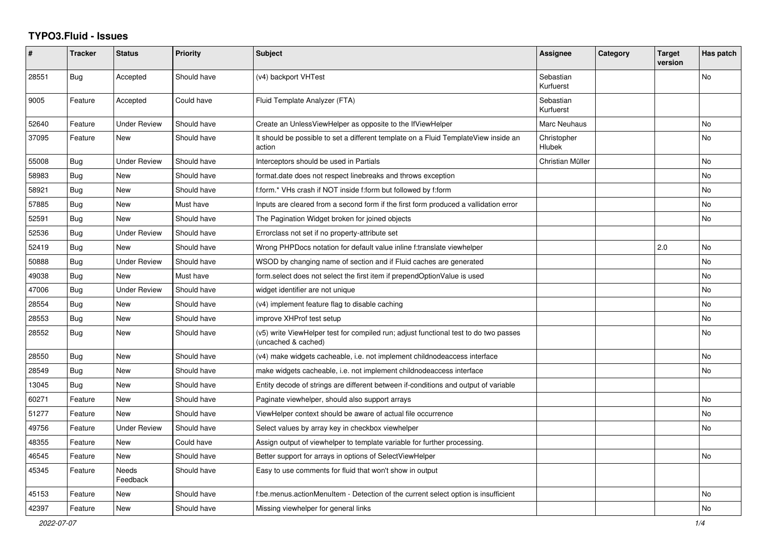## **TYPO3.Fluid - Issues**

| #     | <b>Tracker</b> | <b>Status</b>       | <b>Priority</b> | <b>Subject</b>                                                                                              | Assignee               | Category | <b>Target</b><br>version | Has patch |
|-------|----------------|---------------------|-----------------|-------------------------------------------------------------------------------------------------------------|------------------------|----------|--------------------------|-----------|
| 28551 | Bug            | Accepted            | Should have     | (v4) backport VHTest                                                                                        | Sebastian<br>Kurfuerst |          |                          | No        |
| 9005  | Feature        | Accepted            | Could have      | Fluid Template Analyzer (FTA)                                                                               | Sebastian<br>Kurfuerst |          |                          |           |
| 52640 | Feature        | Under Review        | Should have     | Create an UnlessViewHelper as opposite to the IfViewHelper                                                  | Marc Neuhaus           |          |                          | No        |
| 37095 | Feature        | New                 | Should have     | It should be possible to set a different template on a Fluid TemplateView inside an<br>action               | Christopher<br>Hlubek  |          |                          | <b>No</b> |
| 55008 | Bug            | Under Review        | Should have     | Interceptors should be used in Partials                                                                     | Christian Müller       |          |                          | No        |
| 58983 | <b>Bug</b>     | New                 | Should have     | format.date does not respect linebreaks and throws exception                                                |                        |          |                          | No        |
| 58921 | Bug            | <b>New</b>          | Should have     | f:form.* VHs crash if NOT inside f:form but followed by f:form                                              |                        |          |                          | <b>No</b> |
| 57885 | Bug            | New                 | Must have       | Inputs are cleared from a second form if the first form produced a vallidation error                        |                        |          |                          | <b>No</b> |
| 52591 | <b>Bug</b>     | <b>New</b>          | Should have     | The Pagination Widget broken for joined objects                                                             |                        |          |                          | <b>No</b> |
| 52536 | Bug            | Under Review        | Should have     | Errorclass not set if no property-attribute set                                                             |                        |          |                          |           |
| 52419 | Bug            | <b>New</b>          | Should have     | Wrong PHPDocs notation for default value inline f:translate viewhelper                                      |                        |          | 2.0                      | <b>No</b> |
| 50888 | Bug            | <b>Under Review</b> | Should have     | WSOD by changing name of section and if Fluid caches are generated                                          |                        |          |                          | No        |
| 49038 | Bug            | <b>New</b>          | Must have       | form.select does not select the first item if prependOptionValue is used                                    |                        |          |                          | No        |
| 47006 | Bug            | <b>Under Review</b> | Should have     | widget identifier are not unique                                                                            |                        |          |                          | No        |
| 28554 | Bug            | New                 | Should have     | (v4) implement feature flag to disable caching                                                              |                        |          |                          | No        |
| 28553 | Bug            | <b>New</b>          | Should have     | improve XHProf test setup                                                                                   |                        |          |                          | No        |
| 28552 | <b>Bug</b>     | New                 | Should have     | (v5) write ViewHelper test for compiled run; adjust functional test to do two passes<br>(uncached & cached) |                        |          |                          | <b>No</b> |
| 28550 | Bug            | <b>New</b>          | Should have     | (v4) make widgets cacheable, i.e. not implement childnodeaccess interface                                   |                        |          |                          | <b>No</b> |
| 28549 | <b>Bug</b>     | New                 | Should have     | make widgets cacheable, i.e. not implement childnodeaccess interface                                        |                        |          |                          | <b>No</b> |
| 13045 | Bug            | New                 | Should have     | Entity decode of strings are different between if-conditions and output of variable                         |                        |          |                          |           |
| 60271 | Feature        | New                 | Should have     | Paginate viewhelper, should also support arrays                                                             |                        |          |                          | No        |
| 51277 | Feature        | <b>New</b>          | Should have     | ViewHelper context should be aware of actual file occurrence                                                |                        |          |                          | No        |
| 49756 | Feature        | <b>Under Review</b> | Should have     | Select values by array key in checkbox viewhelper                                                           |                        |          |                          | <b>No</b> |
| 48355 | Feature        | <b>New</b>          | Could have      | Assign output of viewhelper to template variable for further processing.                                    |                        |          |                          |           |
| 46545 | Feature        | New                 | Should have     | Better support for arrays in options of SelectViewHelper                                                    |                        |          |                          | No        |
| 45345 | Feature        | Needs<br>Feedback   | Should have     | Easy to use comments for fluid that won't show in output                                                    |                        |          |                          |           |
| 45153 | Feature        | New                 | Should have     | f:be.menus.actionMenuItem - Detection of the current select option is insufficient                          |                        |          |                          | <b>No</b> |
| 42397 | Feature        | New                 | Should have     | Missing viewhelper for general links                                                                        |                        |          |                          | No        |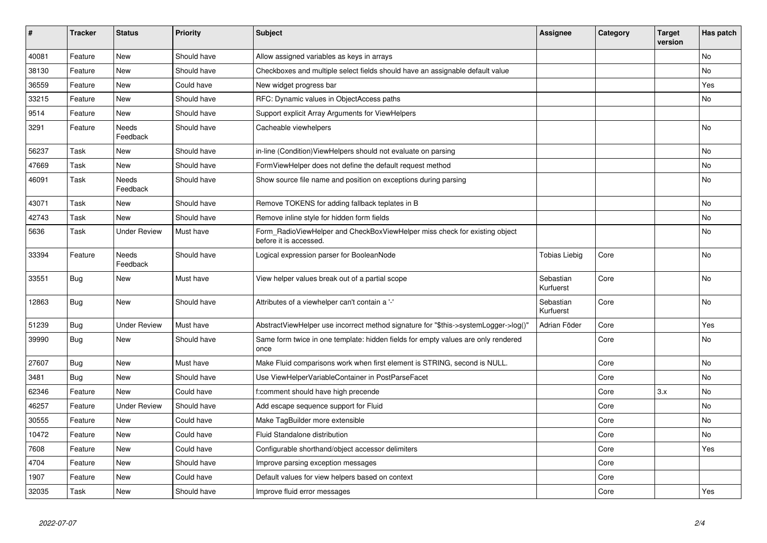| $\pmb{\sharp}$ | <b>Tracker</b> | <b>Status</b>       | <b>Priority</b> | <b>Subject</b>                                                                                       | <b>Assignee</b>        | Category | <b>Target</b><br>version | Has patch |
|----------------|----------------|---------------------|-----------------|------------------------------------------------------------------------------------------------------|------------------------|----------|--------------------------|-----------|
| 40081          | Feature        | <b>New</b>          | Should have     | Allow assigned variables as keys in arrays                                                           |                        |          |                          | <b>No</b> |
| 38130          | Feature        | New                 | Should have     | Checkboxes and multiple select fields should have an assignable default value                        |                        |          |                          | No        |
| 36559          | Feature        | <b>New</b>          | Could have      | New widget progress bar                                                                              |                        |          |                          | Yes       |
| 33215          | Feature        | New                 | Should have     | RFC: Dynamic values in ObjectAccess paths                                                            |                        |          |                          | No        |
| 9514           | Feature        | <b>New</b>          | Should have     | Support explicit Array Arguments for ViewHelpers                                                     |                        |          |                          |           |
| 3291           | Feature        | Needs<br>Feedback   | Should have     | Cacheable viewhelpers                                                                                |                        |          |                          | <b>No</b> |
| 56237          | Task           | New                 | Should have     | in-line (Condition) View Helpers should not evaluate on parsing                                      |                        |          |                          | No        |
| 47669          | Task           | New                 | Should have     | FormViewHelper does not define the default request method                                            |                        |          |                          | <b>No</b> |
| 46091          | Task           | Needs<br>Feedback   | Should have     | Show source file name and position on exceptions during parsing                                      |                        |          |                          | No        |
| 43071          | Task           | New                 | Should have     | Remove TOKENS for adding fallback teplates in B                                                      |                        |          |                          | <b>No</b> |
| 42743          | Task           | <b>New</b>          | Should have     | Remove inline style for hidden form fields                                                           |                        |          |                          | No        |
| 5636           | Task           | <b>Under Review</b> | Must have       | Form_RadioViewHelper and CheckBoxViewHelper miss check for existing object<br>before it is accessed. |                        |          |                          | No        |
| 33394          | Feature        | Needs<br>Feedback   | Should have     | Logical expression parser for BooleanNode                                                            | <b>Tobias Liebig</b>   | Core     |                          | No        |
| 33551          | Bug            | New                 | Must have       | View helper values break out of a partial scope                                                      | Sebastian<br>Kurfuerst | Core     |                          | No        |
| 12863          | Bug            | <b>New</b>          | Should have     | Attributes of a viewhelper can't contain a '-'                                                       | Sebastian<br>Kurfuerst | Core     |                          | No        |
| 51239          | <b>Bug</b>     | <b>Under Review</b> | Must have       | AbstractViewHelper use incorrect method signature for "\$this->systemLogger->log()'                  | Adrian Föder           | Core     |                          | Yes       |
| 39990          | Bug            | <b>New</b>          | Should have     | Same form twice in one template: hidden fields for empty values are only rendered<br>once            |                        | Core     |                          | <b>No</b> |
| 27607          | Bug            | <b>New</b>          | Must have       | Make Fluid comparisons work when first element is STRING, second is NULL.                            |                        | Core     |                          | No        |
| 3481           | <b>Bug</b>     | <b>New</b>          | Should have     | Use ViewHelperVariableContainer in PostParseFacet                                                    |                        | Core     |                          | <b>No</b> |
| 62346          | Feature        | <b>New</b>          | Could have      | f:comment should have high precende                                                                  |                        | Core     | 3.x                      | <b>No</b> |
| 46257          | Feature        | <b>Under Review</b> | Should have     | Add escape sequence support for Fluid                                                                |                        | Core     |                          | No        |
| 30555          | Feature        | <b>New</b>          | Could have      | Make TagBuilder more extensible                                                                      |                        | Core     |                          | <b>No</b> |
| 10472          | Feature        | <b>New</b>          | Could have      | Fluid Standalone distribution                                                                        |                        | Core     |                          | No        |
| 7608           | Feature        | <b>New</b>          | Could have      | Configurable shorthand/object accessor delimiters                                                    |                        | Core     |                          | Yes       |
| 4704           | Feature        | <b>New</b>          | Should have     | Improve parsing exception messages                                                                   |                        | Core     |                          |           |
| 1907           | Feature        | <b>New</b>          | Could have      | Default values for view helpers based on context                                                     |                        | Core     |                          |           |
| 32035          | Task           | <b>New</b>          | Should have     | Improve fluid error messages                                                                         |                        | Core     |                          | Yes       |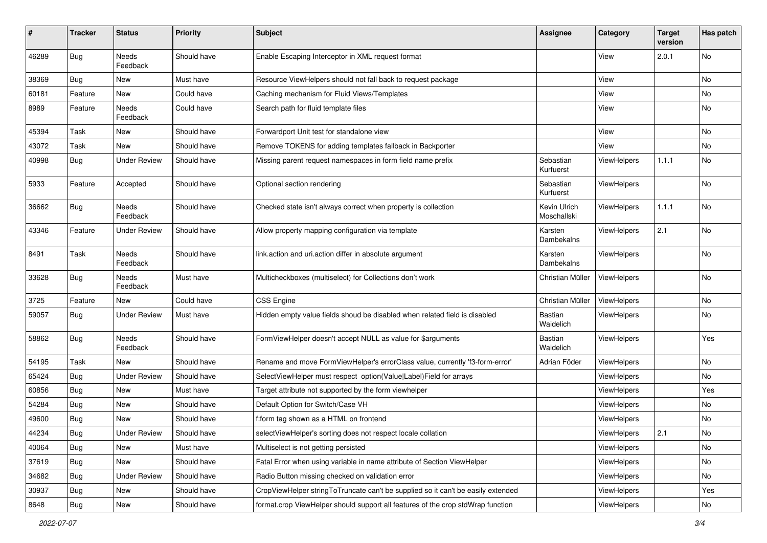| $\#$  | <b>Tracker</b> | <b>Status</b>            | <b>Priority</b> | <b>Subject</b>                                                                   | <b>Assignee</b>             | Category           | <b>Target</b><br>version | Has patch |
|-------|----------------|--------------------------|-----------------|----------------------------------------------------------------------------------|-----------------------------|--------------------|--------------------------|-----------|
| 46289 | <b>Bug</b>     | <b>Needs</b><br>Feedback | Should have     | Enable Escaping Interceptor in XML request format                                |                             | View               | 2.0.1                    | <b>No</b> |
| 38369 | Bug            | New                      | Must have       | Resource ViewHelpers should not fall back to request package                     |                             | View               |                          | No        |
| 60181 | Feature        | New                      | Could have      | Caching mechanism for Fluid Views/Templates                                      |                             | View               |                          | No        |
| 8989  | Feature        | Needs<br>Feedback        | Could have      | Search path for fluid template files                                             |                             | View               |                          | No        |
| 45394 | Task           | New                      | Should have     | Forwardport Unit test for standalone view                                        |                             | View               |                          | No        |
| 43072 | Task           | New                      | Should have     | Remove TOKENS for adding templates fallback in Backporter                        |                             | View               |                          | <b>No</b> |
| 40998 | Bug            | <b>Under Review</b>      | Should have     | Missing parent request namespaces in form field name prefix                      | Sebastian<br>Kurfuerst      | ViewHelpers        | 1.1.1                    | No        |
| 5933  | Feature        | Accepted                 | Should have     | Optional section rendering                                                       | Sebastian<br>Kurfuerst      | ViewHelpers        |                          | No        |
| 36662 | Bug            | Needs<br>Feedback        | Should have     | Checked state isn't always correct when property is collection                   | Kevin Ulrich<br>Moschallski | ViewHelpers        | 1.1.1                    | No        |
| 43346 | Feature        | <b>Under Review</b>      | Should have     | Allow property mapping configuration via template                                | Karsten<br>Dambekalns       | <b>ViewHelpers</b> | 2.1                      | No        |
| 8491  | Task           | Needs<br>Feedback        | Should have     | link.action and uri.action differ in absolute argument                           | Karsten<br>Dambekalns       | ViewHelpers        |                          | No        |
| 33628 | Bug            | Needs<br>Feedback        | Must have       | Multicheckboxes (multiselect) for Collections don't work                         | Christian Müller            | ViewHelpers        |                          | No        |
| 3725  | Feature        | New                      | Could have      | <b>CSS Engine</b>                                                                | Christian Müller            | ViewHelpers        |                          | No        |
| 59057 | Bug            | <b>Under Review</b>      | Must have       | Hidden empty value fields shoud be disabled when related field is disabled       | <b>Bastian</b><br>Waidelich | ViewHelpers        |                          | No        |
| 58862 | Bug            | Needs<br>Feedback        | Should have     | FormViewHelper doesn't accept NULL as value for \$arguments                      | <b>Bastian</b><br>Waidelich | ViewHelpers        |                          | Yes       |
| 54195 | Task           | New                      | Should have     | Rename and move FormViewHelper's errorClass value, currently 'f3-form-error'     | Adrian Föder                | ViewHelpers        |                          | No        |
| 65424 | Bug            | <b>Under Review</b>      | Should have     | SelectViewHelper must respect option(Value Label)Field for arrays                |                             | ViewHelpers        |                          | No        |
| 60856 | Bug            | New                      | Must have       | Target attribute not supported by the form viewhelper                            |                             | ViewHelpers        |                          | Yes       |
| 54284 | Bug            | New                      | Should have     | Default Option for Switch/Case VH                                                |                             | ViewHelpers        |                          | No        |
| 49600 | Bug            | New                      | Should have     | f:form tag shown as a HTML on frontend                                           |                             | ViewHelpers        |                          | No        |
| 44234 | <b>Bug</b>     | <b>Under Review</b>      | Should have     | selectViewHelper's sorting does not respect locale collation                     |                             | ViewHelpers        | 2.1                      | No        |
| 40064 | Bug            | New                      | Must have       | Multiselect is not getting persisted                                             |                             | ViewHelpers        |                          | No        |
| 37619 | Bug            | New                      | Should have     | Fatal Error when using variable in name attribute of Section ViewHelper          |                             | ViewHelpers        |                          | No        |
| 34682 | Bug            | <b>Under Review</b>      | Should have     | Radio Button missing checked on validation error                                 |                             | ViewHelpers        |                          | No        |
| 30937 | Bug            | New                      | Should have     | CropViewHelper stringToTruncate can't be supplied so it can't be easily extended |                             | ViewHelpers        |                          | Yes       |
| 8648  | <b>Bug</b>     | New                      | Should have     | format.crop ViewHelper should support all features of the crop stdWrap function  |                             | ViewHelpers        |                          | No        |